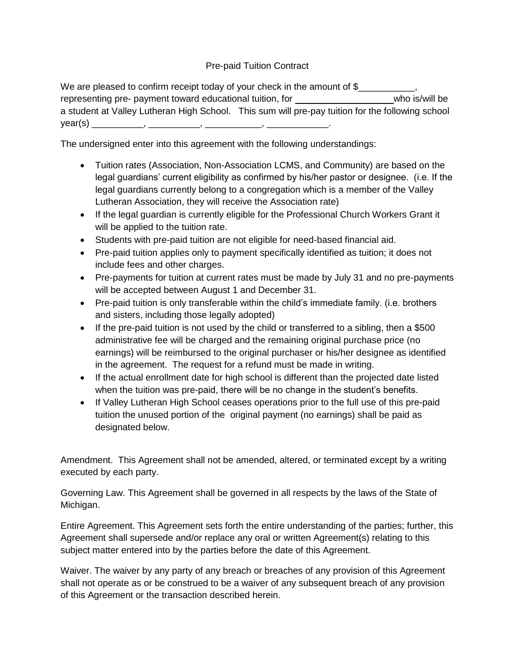## Pre-paid Tuition Contract

We are pleased to confirm receipt today of your check in the amount of \$ representing pre- payment toward educational tuition, for who is/will be who is/will be a student at Valley Lutheran High School. This sum will pre-pay tuition for the following school year(s) \_\_\_\_\_\_\_\_\_\_, \_\_\_\_\_\_\_\_\_\_, \_\_\_\_\_\_\_\_\_\_\_, \_\_\_\_\_\_\_\_\_\_\_\_.

The undersigned enter into this agreement with the following understandings:

- Tuition rates (Association, Non-Association LCMS, and Community) are based on the legal guardians' current eligibility as confirmed by his/her pastor or designee. (i.e. If the legal guardians currently belong to a congregation which is a member of the Valley Lutheran Association, they will receive the Association rate)
- If the legal guardian is currently eligible for the Professional Church Workers Grant it will be applied to the tuition rate.
- Students with pre-paid tuition are not eligible for need-based financial aid.
- Pre-paid tuition applies only to payment specifically identified as tuition; it does not include fees and other charges.
- Pre-payments for tuition at current rates must be made by July 31 and no pre-payments will be accepted between August 1 and December 31.
- Pre-paid tuition is only transferable within the child's immediate family. (i.e. brothers and sisters, including those legally adopted)
- If the pre-paid tuition is not used by the child or transferred to a sibling, then a \$500 administrative fee will be charged and the remaining original purchase price (no earnings) will be reimbursed to the original purchaser or his/her designee as identified in the agreement. The request for a refund must be made in writing.
- If the actual enrollment date for high school is different than the projected date listed when the tuition was pre-paid, there will be no change in the student's benefits.
- If Valley Lutheran High School ceases operations prior to the full use of this pre-paid tuition the unused portion of the original payment (no earnings) shall be paid as designated below.

Amendment. This Agreement shall not be amended, altered, or terminated except by a writing executed by each party.

Governing Law. This Agreement shall be governed in all respects by the laws of the State of Michigan.

Entire Agreement. This Agreement sets forth the entire understanding of the parties; further, this Agreement shall supersede and/or replace any oral or written Agreement(s) relating to this subject matter entered into by the parties before the date of this Agreement.

Waiver. The waiver by any party of any breach or breaches of any provision of this Agreement shall not operate as or be construed to be a waiver of any subsequent breach of any provision of this Agreement or the transaction described herein.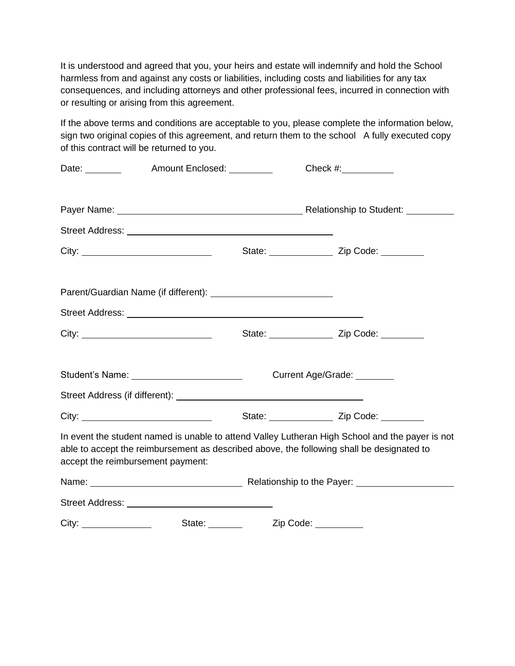It is understood and agreed that you, your heirs and estate will indemnify and hold the School harmless from and against any costs or liabilities, including costs and liabilities for any tax consequences, and including attorneys and other professional fees, incurred in connection with or resulting or arising from this agreement.

If the above terms and conditions are acceptable to you, please complete the information below, sign two original copies of this agreement, and return them to the school A fully executed copy of this contract will be returned to you.

|                                   | Date: Mount Enclosed: Mate: Mount Enclosed: |                                                                                                                                                                                                                               | Check $\#$ :                                                                                                                                                                                 |  |  |
|-----------------------------------|---------------------------------------------|-------------------------------------------------------------------------------------------------------------------------------------------------------------------------------------------------------------------------------|----------------------------------------------------------------------------------------------------------------------------------------------------------------------------------------------|--|--|
|                                   |                                             |                                                                                                                                                                                                                               |                                                                                                                                                                                              |  |  |
|                                   |                                             |                                                                                                                                                                                                                               |                                                                                                                                                                                              |  |  |
|                                   |                                             |                                                                                                                                                                                                                               | State: ___________________ Zip Code: __________                                                                                                                                              |  |  |
|                                   |                                             |                                                                                                                                                                                                                               |                                                                                                                                                                                              |  |  |
|                                   |                                             |                                                                                                                                                                                                                               |                                                                                                                                                                                              |  |  |
|                                   |                                             |                                                                                                                                                                                                                               | State: ____________________ Zip Code: __________                                                                                                                                             |  |  |
|                                   | Student's Name: __________________________  | Current Age/Grade: 2002                                                                                                                                                                                                       |                                                                                                                                                                                              |  |  |
|                                   |                                             |                                                                                                                                                                                                                               |                                                                                                                                                                                              |  |  |
|                                   |                                             |                                                                                                                                                                                                                               | State: <u>Zip Code:</u>                                                                                                                                                                      |  |  |
| accept the reimbursement payment: |                                             |                                                                                                                                                                                                                               | In event the student named is unable to attend Valley Lutheran High School and the payer is not<br>able to accept the reimbursement as described above, the following shall be designated to |  |  |
|                                   |                                             | Name: Name: Name: Name: Name: Name: Name: Name: Name: Name: Name: Name: Name: Name: Name: Name: Name: Name: Name: Name: Name: Name: Name: Name: Name: Name: Name: Name: Name: Name: Name: Name: Name: Name: Name: Name: Name: |                                                                                                                                                                                              |  |  |
|                                   |                                             |                                                                                                                                                                                                                               |                                                                                                                                                                                              |  |  |
|                                   |                                             |                                                                                                                                                                                                                               |                                                                                                                                                                                              |  |  |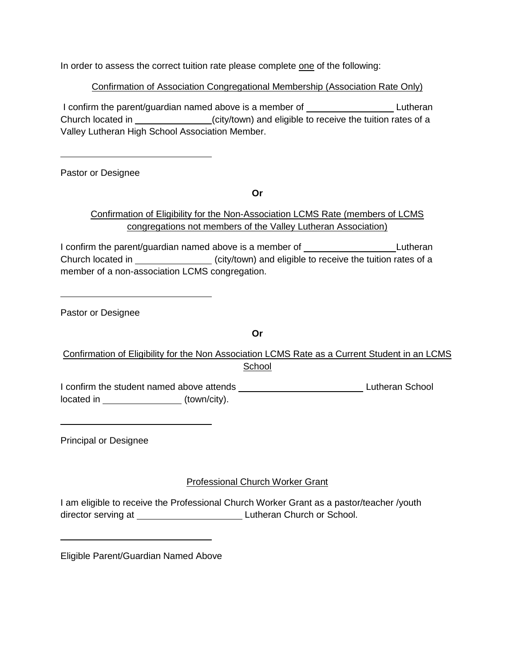In order to assess the correct tuition rate please complete one of the following:

## Confirmation of Association Congregational Membership (Association Rate Only)

I confirm the parent/guardian named above is a member of Lutheran Church located in \_\_\_\_\_\_\_\_\_\_\_\_\_(city/town) and eligible to receive the tuition rates of a Valley Lutheran High School Association Member.

Pastor or Designee

**Or**

## Confirmation of Eligibility for the Non-Association LCMS Rate (members of LCMS congregations not members of the Valley Lutheran Association)

I confirm the parent/guardian named above is a member of **Lutheran** Lutheran Church located in (city/town) and eligible to receive the tuition rates of a member of a non-association LCMS congregation.

Pastor or Designee

**Or**

Confirmation of Eligibility for the Non Association LCMS Rate as a Current Student in an LCMS **School** 

I confirm the student named above attends **Lutheran School** Lutheran School located in \_\_\_\_\_\_\_\_\_\_\_\_\_\_\_\_\_\_\_(town/city).

Principal or Designee

## Professional Church Worker Grant

I am eligible to receive the Professional Church Worker Grant as a pastor/teacher /youth director serving at Lutheran Church or School.

Eligible Parent/Guardian Named Above